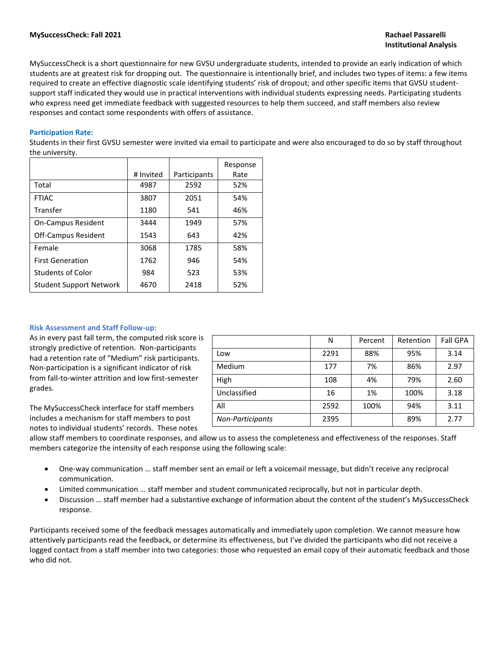#### **MySuccessCheck: Fall 2021 Rachael Passarelli**

MySuccessCheck is a short questionnaire for new GVSU undergraduate students, intended to provide an early indication of which students are at greatest risk for dropping out. The questionnaire is intentionally brief, and includes two types of items: a few items required to create an effective diagnostic scale identifying students' risk of dropout; and other specific items that GVSU studentsupport staff indicated they would use in practical interventions with individual students expressing needs. Participating students who express need get immediate feedback with suggested resources to help them succeed, and staff members also review responses and contact some respondents with offers of assistance.

#### **Participation Rate:**

Students in their first GVSU semester were invited via email to participate and were also encouraged to do so by staff throughout the university.

|                                | # Invited | Participants | Response<br>Rate |
|--------------------------------|-----------|--------------|------------------|
| Total                          | 4987      | 2592         | 52%              |
| <b>FTIAC</b>                   | 3807      | 2051         | 54%              |
| Transfer                       | 1180      | 541          | 46%              |
| <b>On-Campus Resident</b>      | 3444      | 1949         | 57%              |
| <b>Off-Campus Resident</b>     | 1543      | 643          | 42%              |
| Female                         | 3068      | 1785         | 58%              |
| <b>First Generation</b>        | 1762      | 946          | 54%              |
| <b>Students of Color</b>       | 984       | 523          | 53%              |
| <b>Student Support Network</b> | 4670      | 2418         | 52%              |

#### **Risk Assessment and Staff Follow-up:**

As in every past fall term, the computed risk score is strongly predictive of retention. Non-participants had a retention rate of "Medium" risk participants. Non-participation is a significant indicator of risk from fall-to-winter attrition and low first-semester grades.

The MySuccessCheck interface for staff members includes a mechanism for staff members to post notes to individual students' records. These notes

|                  | N    | Percent | Retention | <b>Fall GPA</b> |
|------------------|------|---------|-----------|-----------------|
| Low              | 2291 | 88%     | 95%       | 3.14            |
| Medium           | 177  | 7%      | 86%       | 2.97            |
| High             | 108  | 4%      | 79%       | 2.60            |
| Unclassified     | 16   | 1%      | 100%      | 3.18            |
| All              | 2592 | 100%    | 94%       | 3.11            |
| Non-Participants | 2395 |         | 89%       | 2.77            |

allow staff members to coordinate responses, and allow us to assess the completeness and effectiveness of the responses. Staff members categorize the intensity of each response using the following scale:

- One-way communication … staff member sent an email or left a voicemail message, but didn't receive any reciprocal communication.
- Limited communication … staff member and student communicated reciprocally, but not in particular depth.
- Discussion … staff member had a substantive exchange of information about the content of the student's MySuccessCheck response.

Participants received some of the feedback messages automatically and immediately upon completion. We cannot measure how attentively participants read the feedback, or determine its effectiveness, but I've divided the participants who did not receive a logged contact from a staff member into two categories: those who requested an email copy of their automatic feedback and those who did not.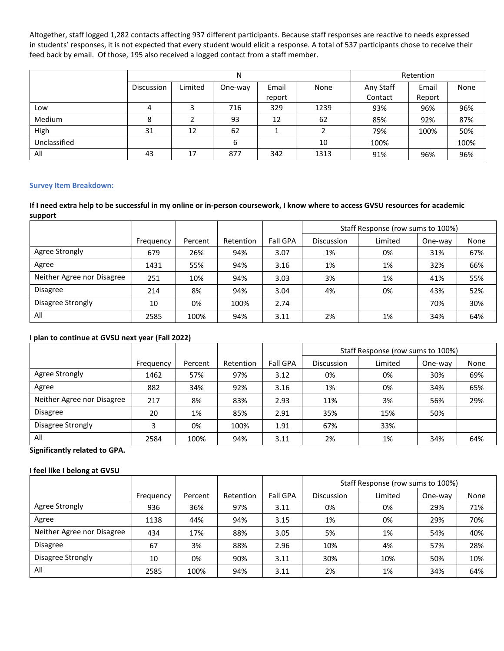Altogether, staff logged 1,282 contacts affecting 937 different participants. Because staff responses are reactive to needs expressed in students' responses, it is not expected that every student would elicit a response. A total of 537 participants chose to receive their feed back by email. Of those, 195 also received a logged contact from a staff member.

|              |            |         | N       | Retention |      |           |        |      |
|--------------|------------|---------|---------|-----------|------|-----------|--------|------|
|              | Discussion | Limited | One-way | Email     | None | Any Staff | Email  | None |
|              |            |         |         | report    |      | Contact   | Report |      |
| Low          | 4          |         | 716     | 329       | 1239 | 93%       | 96%    | 96%  |
| Medium       | 8          |         | 93      | 12        | 62   | 85%       | 92%    | 87%  |
| High         | 31         | 12      | 62      |           | ົ    | 79%       | 100%   | 50%  |
| Unclassified |            |         | 6       |           | 10   | 100%      |        | 100% |
| All          | 43         | 17      | 877     | 342       | 1313 | 91%       | 96%    | 96%  |

## **Survey Item Breakdown:**

**If I need extra help to be successful in my online or in-person coursework, I know where to access GVSU resources for academic support**

|                            |           |         |           |          |                   | Staff Response (row sums to 100%) |         |      |
|----------------------------|-----------|---------|-----------|----------|-------------------|-----------------------------------|---------|------|
|                            | Frequency | Percent | Retention | Fall GPA | <b>Discussion</b> | Limited                           | One-way | None |
| Agree Strongly             | 679       | 26%     | 94%       | 3.07     | 1%                | 0%                                | 31%     | 67%  |
| Agree                      | 1431      | 55%     | 94%       | 3.16     | 1%                | 1%                                | 32%     | 66%  |
| Neither Agree nor Disagree | 251       | 10%     | 94%       | 3.03     | 3%                | 1%                                | 41%     | 55%  |
| <b>Disagree</b>            | 214       | 8%      | 94%       | 3.04     | 4%                | 0%                                | 43%     | 52%  |
| Disagree Strongly          | 10        | 0%      | 100%      | 2.74     |                   |                                   | 70%     | 30%  |
| All                        | 2585      | 100%    | 94%       | 3.11     | 2%                | 1%                                | 34%     | 64%  |

## **I plan to continue at GVSU next year (Fall 2022)**

|                            |           |         |           |                 |                   | Staff Response (row sums to 100%) |         |      |
|----------------------------|-----------|---------|-----------|-----------------|-------------------|-----------------------------------|---------|------|
|                            | Frequency | Percent | Retention | <b>Fall GPA</b> | <b>Discussion</b> | Limited                           | One-way | None |
| Agree Strongly             | 1462      | 57%     | 97%       | 3.12            | 0%                | 0%                                | 30%     | 69%  |
| Agree                      | 882       | 34%     | 92%       | 3.16            | 1%                | 0%                                | 34%     | 65%  |
| Neither Agree nor Disagree | 217       | 8%      | 83%       | 2.93            | 11%               | 3%                                | 56%     | 29%  |
| <b>Disagree</b>            | 20        | 1%      | 85%       | 2.91            | 35%               | 15%                               | 50%     |      |
| Disagree Strongly          | 3         | 0%      | 100%      | 1.91            | 67%               | 33%                               |         |      |
| All                        | 2584      | 100%    | 94%       | 3.11            | 2%                | 1%                                | 34%     | 64%  |

**Significantly related to GPA.**

## **I feel like I belong at GVSU**

|                            |           |         |           |                 |            | Staff Response (row sums to 100%) |         |      |
|----------------------------|-----------|---------|-----------|-----------------|------------|-----------------------------------|---------|------|
|                            | Frequency | Percent | Retention | <b>Fall GPA</b> | Discussion | Limited                           | One-way | None |
| Agree Strongly             | 936       | 36%     | 97%       | 3.11            | 0%         | 0%                                | 29%     | 71%  |
| Agree                      | 1138      | 44%     | 94%       | 3.15            | 1%         | 0%                                | 29%     | 70%  |
| Neither Agree nor Disagree | 434       | 17%     | 88%       | 3.05            | 5%         | 1%                                | 54%     | 40%  |
| <b>Disagree</b>            | 67        | 3%      | 88%       | 2.96            | 10%        | 4%                                | 57%     | 28%  |
| Disagree Strongly          | 10        | 0%      | 90%       | 3.11            | 30%        | 10%                               | 50%     | 10%  |
| All                        | 2585      | 100%    | 94%       | 3.11            | 2%         | 1%                                | 34%     | 64%  |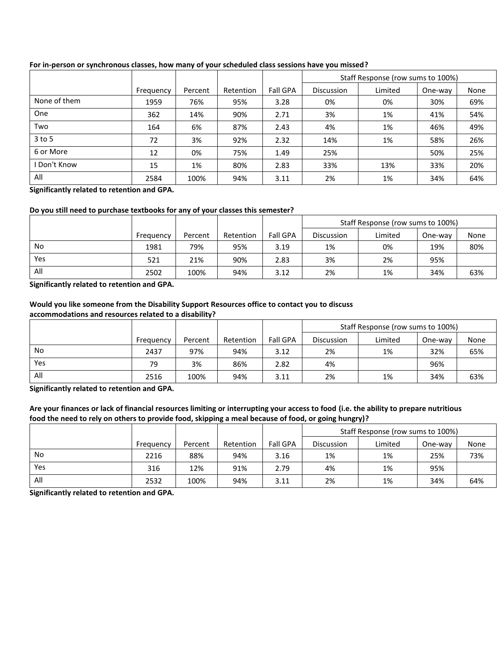|              |           |         |           |          |            | Staff Response (row sums to 100%) |         |      |
|--------------|-----------|---------|-----------|----------|------------|-----------------------------------|---------|------|
|              | Frequency | Percent | Retention | Fall GPA | Discussion | Limited                           | One-way | None |
| None of them | 1959      | 76%     | 95%       | 3.28     | 0%         | 0%                                | 30%     | 69%  |
| One          | 362       | 14%     | 90%       | 2.71     | 3%         | 1%                                | 41%     | 54%  |
| Two          | 164       | 6%      | 87%       | 2.43     | 4%         | 1%                                | 46%     | 49%  |
| $3$ to 5     | 72        | 3%      | 92%       | 2.32     | 14%        | 1%                                | 58%     | 26%  |
| 6 or More    | 12        | 0%      | 75%       | 1.49     | 25%        |                                   | 50%     | 25%  |
| I Don't Know | 15        | 1%      | 80%       | 2.83     | 33%        | 13%                               | 33%     | 20%  |
| All          | 2584      | 100%    | 94%       | 3.11     | 2%         | 1%                                | 34%     | 64%  |

## **For in-person or synchronous classes, how many of your scheduled class sessions have you missed?**

**Significantly related to retention and GPA.**

## **Do you still need to purchase textbooks for any of your classes this semester?**

|     |           |         |           |                 |                   | Staff Response (row sums to 100%) |         |      |
|-----|-----------|---------|-----------|-----------------|-------------------|-----------------------------------|---------|------|
|     | Frequency | Percent | Retention | <b>Fall GPA</b> | <b>Discussion</b> | Limited                           | One-way | None |
| No  | 1981      | 79%     | 95%       | 3.19            | 1%                | 0%                                | 19%     | 80%  |
| Yes | 521       | 21%     | 90%       | 2.83            | 3%                | 2%                                | 95%     |      |
| All | 2502      | 100%    | 94%       | 3.12            | 2%                | 1%                                | 34%     | 63%  |

**Significantly related to retention and GPA.** 

### **Would you like someone from the Disability Support Resources office to contact you to discuss accommodations and resources related to a disability?**

|     |           |         |           |          |                   | Staff Response (row sums to 100%) |         |      |
|-----|-----------|---------|-----------|----------|-------------------|-----------------------------------|---------|------|
|     | Frequency | Percent | Retention | Fall GPA | <b>Discussion</b> | Limited                           | One-way | None |
| No  | 2437      | 97%     | 94%       | 3.12     | 2%                | 1%                                | 32%     | 65%  |
| Yes | 79        | 3%      | 86%       | 2.82     | 4%                |                                   | 96%     |      |
| All | 2516      | 100%    | 94%       | 3.11     | 2%                | 1%                                | 34%     | 63%  |

**Significantly related to retention and GPA.**

## **Are your finances or lack of financial resources limiting or interrupting your access to food (i.e. the ability to prepare nutritious food the need to rely on others to provide food, skipping a meal because of food, or going hungry)?**

|     |           |         |           |                 |                   | Staff Response (row sums to 100%) |         |      |
|-----|-----------|---------|-----------|-----------------|-------------------|-----------------------------------|---------|------|
|     | Frequency | Percent | Retention | <b>Fall GPA</b> | <b>Discussion</b> | Limited                           | One-way | None |
| No  | 2216      | 88%     | 94%       | 3.16            | 1%                | 1%                                | 25%     | 73%  |
| Yes | 316       | 12%     | 91%       | 2.79            | 4%                | 1%                                | 95%     |      |
| All | 2532      | 100%    | 94%       | 3.11            | 2%                | 1%                                | 34%     | 64%  |

**Significantly related to retention and GPA.**